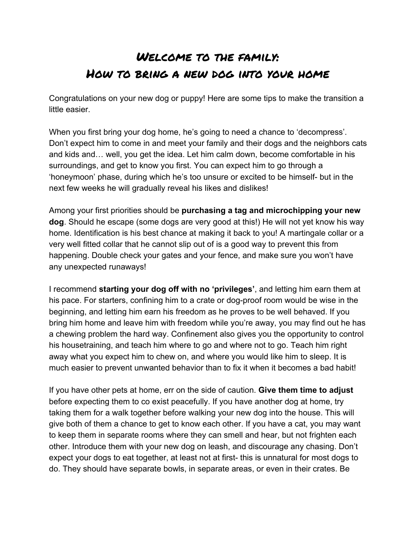## Welcome to the family: How to bring a new dog into your home

Congratulations on your new dog or puppy! Here are some tips to make the transition a little easier.

When you first bring your dog home, he's going to need a chance to 'decompress'. Don't expect him to come in and meet your family and their dogs and the neighbors cats and kids and… well, you get the idea. Let him calm down, become comfortable in his surroundings, and get to know you first. You can expect him to go through a 'honeymoon' phase, during which he's too unsure or excited to be himself- but in the next few weeks he will gradually reveal his likes and dislikes!

Among your first priorities should be **purchasing a tag and microchipping your new dog**. Should he escape (some dogs are very good at this!) He will not yet know his way home. Identification is his best chance at making it back to you! A martingale collar or a very well fitted collar that he cannot slip out of is a good way to prevent this from happening. Double check your gates and your fence, and make sure you won't have any unexpected runaways!

I recommend **starting your dog off with no 'privileges'**, and letting him earn them at his pace. For starters, confining him to a crate or dog-proof room would be wise in the beginning, and letting him earn his freedom as he proves to be well behaved. If you bring him home and leave him with freedom while you're away, you may find out he has a chewing problem the hard way. Confinement also gives you the opportunity to control his housetraining, and teach him where to go and where not to go. Teach him right away what you expect him to chew on, and where you would like him to sleep. It is much easier to prevent unwanted behavior than to fix it when it becomes a bad habit!

If you have other pets at home, err on the side of caution. **Give them time to adjust** before expecting them to co exist peacefully. If you have another dog at home, try taking them for a walk together before walking your new dog into the house. This will give both of them a chance to get to know each other. If you have a cat, you may want to keep them in separate rooms where they can smell and hear, but not frighten each other. Introduce them with your new dog on leash, and discourage any chasing. Don't expect your dogs to eat together, at least not at first- this is unnatural for most dogs to do. They should have separate bowls, in separate areas, or even in their crates. Be